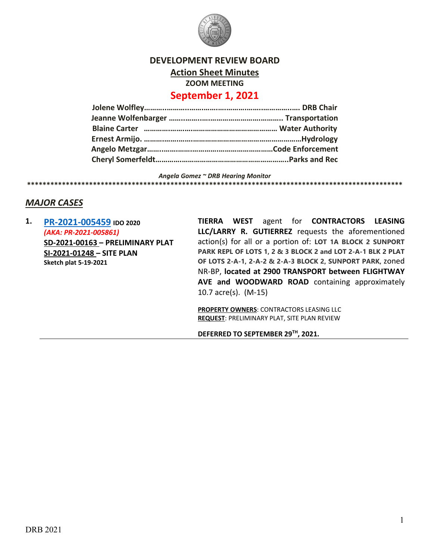

### **DEVELOPMENT REVIEW BOARD Action Sheet Minutes**

**ZOOM MEETING**

# **September 1, 2021**

*Angela Gomez ~ DRB Hearing Monitor* **\*\*\*\*\*\*\*\*\*\*\*\*\*\*\*\*\*\*\*\*\*\*\*\*\*\*\*\*\*\*\*\*\*\*\*\*\*\*\*\*\*\*\*\*\*\*\*\*\*\*\*\*\*\*\*\*\*\*\*\*\*\*\*\*\*\*\*\*\*\*\*\*\*\*\*\*\*\*\*\*\*\*\*\*\*\*\*\*\*\*\*\*\*\*\*\*\***

## *MAJOR CASES*

**1. [PR-2021-005459](http://data.cabq.gov/government/planning/DRB/PR-2021-005459/DRB%20Submittals/) IDO 2020** *(AKA: PR-2021-005861)* **SD-2021-00163 – PRELIMINARY PLAT SI-2021-01248 – SITE PLAN Sketch plat 5-19-2021**

**TIERRA WEST** agent for **CONTRACTORS LEASING LLC/LARRY R. GUTIERREZ** requests the aforementioned action(s) for all or a portion of: **LOT 1A BLOCK 2 SUNPORT PARK REPL OF LOTS 1, 2 & 3 BLOCK 2 and LOT 2-A-1 BLK 2 PLAT OF LOTS 2-A-1, 2-A-2 & 2-A-3 BLOCK 2, SUNPORT PARK,** zoned NR-BP, **located at 2900 TRANSPORT between FLIGHTWAY AVE and WOODWARD ROAD** containing approximately 10.7 acre(s). (M-15)

**PROPERTY OWNERS**: CONTRACTORS LEASING LLC **REQUEST**: PRELIMINARY PLAT, SITE PLAN REVIEW

**DEFERRED TO SEPTEMBER 29TH, 2021.**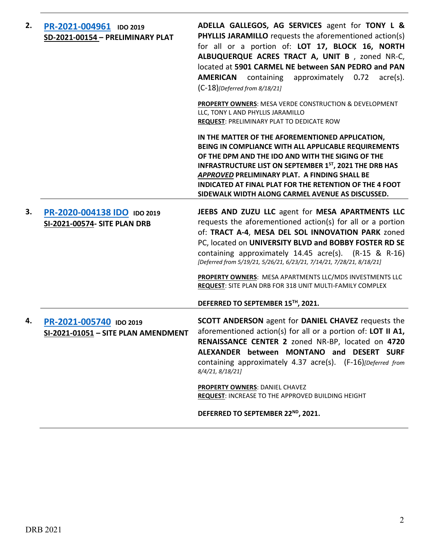| 2. | PR-2021-004961 IDO 2019<br>SD-2021-00154 - PRELIMINARY PLAT    | ADELLA GALLEGOS, AG SERVICES agent for TONY L &<br><b>PHYLLIS JARAMILLO</b> requests the aforementioned action(s)<br>for all or a portion of: LOT 17, BLOCK 16, NORTH<br>ALBUQUERQUE ACRES TRACT A, UNIT B, zoned NR-C,<br>located at 5901 CARMEL NE between SAN PEDRO and PAN<br>approximately 0.72<br><b>AMERICAN</b> containing<br>$\text{acre}(s)$ .<br>$(C-18)$ [Deferred from 8/18/21]          |
|----|----------------------------------------------------------------|-------------------------------------------------------------------------------------------------------------------------------------------------------------------------------------------------------------------------------------------------------------------------------------------------------------------------------------------------------------------------------------------------------|
|    |                                                                | PROPERTY OWNERS: MESA VERDE CONSTRUCTION & DEVELOPMENT<br>LLC, TONY L AND PHYLLIS JARAMILLO<br><b>REQUEST: PRELIMINARY PLAT TO DEDICATE ROW</b>                                                                                                                                                                                                                                                       |
|    |                                                                | IN THE MATTER OF THE AFOREMENTIONED APPLICATION,<br>BEING IN COMPLIANCE WITH ALL APPLICABLE REQUIREMENTS<br>OF THE DPM AND THE IDO AND WITH THE SIGING OF THE<br><b>INFRASTRUCTURE LIST ON SEPTEMBER 1ST, 2021 THE DRB HAS</b><br>APPROVED PRELIMINARY PLAT. A FINDING SHALL BE<br><b>INDICATED AT FINAL PLAT FOR THE RETENTION OF THE 4 FOOT</b><br>SIDEWALK WIDTH ALONG CARMEL AVENUE AS DISCUSSED. |
| 3. | PR-2020-004138 IDO IDO 2019<br>SI-2021-00574- SITE PLAN DRB    | JEEBS AND ZUZU LLC agent for MESA APARTMENTS LLC<br>requests the aforementioned action(s) for all or a portion<br>of: TRACT A-4, MESA DEL SOL INNOVATION PARK zoned<br>PC, located on UNIVERSITY BLVD and BOBBY FOSTER RD SE<br>containing approximately 14.45 acre(s). (R-15 & R-16)<br>[Deferred from 5/19/21, 5/26/21, 6/23/21, 7/14/21, 7/28/21, 8/18/21]                                         |
|    |                                                                | PROPERTY OWNERS: MESA APARTMENTS LLC/MDS INVESTMENTS LLC<br>REQUEST: SITE PLAN DRB FOR 318 UNIT MULTI-FAMILY COMPLEX                                                                                                                                                                                                                                                                                  |
|    |                                                                | DEFERRED TO SEPTEMBER 15TH, 2021.                                                                                                                                                                                                                                                                                                                                                                     |
| 4. | PR-2021-005740 IDO 2019<br>SI-2021-01051 - SITE PLAN AMENDMENT | <b>SCOTT ANDERSON</b> agent for <b>DANIEL CHAVEZ</b> requests the<br>aforementioned action(s) for all or a portion of: LOT II A1,<br>RENAISSANCE CENTER 2 zoned NR-BP, located on 4720<br>ALEXANDER between MONTANO and DESERT SURF<br>containing approximately 4.37 acre(s). (F-16)[Deferred from<br>8/4/21, 8/18/21]                                                                                |
|    |                                                                | <b>PROPERTY OWNERS: DANIEL CHAVEZ</b><br><b>REQUEST: INCREASE TO THE APPROVED BUILDING HEIGHT</b>                                                                                                                                                                                                                                                                                                     |
|    |                                                                | DEFERRED TO SEPTEMBER 22 <sup>ND</sup> , 2021.                                                                                                                                                                                                                                                                                                                                                        |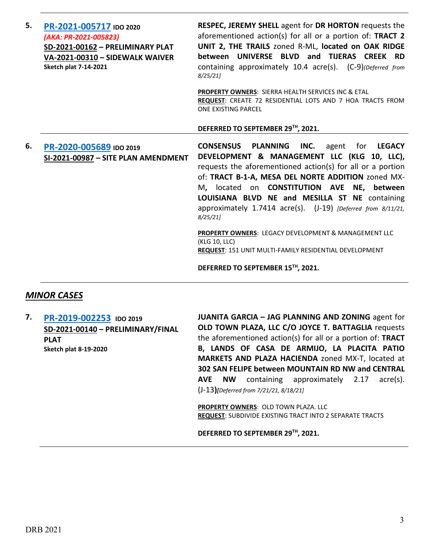| 5. | PR-2021-005717 IDO 2020<br>(AKA: PR-2021-005823)<br>SD-2021-00162 - PRELIMINARY PLAT<br>VA-2021-00310 - SIDEWALK WAIVER<br><b>Sketch plat 7-14-2021</b> | RESPEC, JEREMY SHELL agent for DR HORTON requests the<br>aforementioned action(s) for all or a portion of: TRACT 2<br>UNIT 2, THE TRAILS zoned R-ML, located on OAK RIDGE<br>UNIVERSE BLVD and TIJERAS CREEK RD<br>between<br>containing approximately 10.4 acre(s). (C-9)(Deferred from<br>8/25/21<br><b>PROPERTY OWNERS: SIERRA HEALTH SERVICES INC &amp; ETAL</b><br>REQUEST: CREATE 72 RESIDENTIAL LOTS AND 7 HOA TRACTS FROM<br>ONE EXISTING PARCEL           |
|----|---------------------------------------------------------------------------------------------------------------------------------------------------------|--------------------------------------------------------------------------------------------------------------------------------------------------------------------------------------------------------------------------------------------------------------------------------------------------------------------------------------------------------------------------------------------------------------------------------------------------------------------|
|    |                                                                                                                                                         | DEFERRED TO SEPTEMBER 29TH, 2021.                                                                                                                                                                                                                                                                                                                                                                                                                                  |
| 6. | PR-2020-005689 IDO 2019<br>SI-2021-00987 - SITE PLAN AMENDMENT                                                                                          | INC.<br><b>CONSENSUS PLANNING</b><br>agent for LEGACY<br>DEVELOPMENT & MANAGEMENT LLC (KLG 10, LLC),<br>requests the aforementioned action(s) for all or a portion<br>of: TRACT B-1-A, MESA DEL NORTE ADDITION zoned MX-<br>M, located on <b>CONSTITUTION AVE NE, between</b><br>LOUISIANA BLVD NE and MESILLA ST NE containing<br>approximately 1.7414 acre(s). (J-19) [Deferred from 8/11/21,<br>8/25/21<br>PROPERTY OWNERS: LEGACY DEVELOPMENT & MANAGEMENT LLC |
|    |                                                                                                                                                         | (KLG 10, LLC)<br>REQUEST: 151 UNIT MULTI-FAMILY RESIDENTIAL DEVELOPMENT                                                                                                                                                                                                                                                                                                                                                                                            |
|    |                                                                                                                                                         | DEFERRED TO SEPTEMBER 15TH, 2021.                                                                                                                                                                                                                                                                                                                                                                                                                                  |

### *MINOR CASES*

**7. [PR-2019-002253](http://data.cabq.gov/government/planning/DRB/PR-2019-002253/DRB%20Submittals/) IDO 2019 SD-2021-00140 – PRELIMINARY/FINAL PLAT Sketch plat 8-19-2020**

**JUANITA GARCIA – JAG PLANNING AND ZONING** agent for **OLD TOWN PLAZA, LLC C/O JOYCE T. BATTAGLIA** requests the aforementioned action(s) for all or a portion of: **TRACT B, LANDS OF CASA DE ARMIJO, LA PLACITA PATIO MARKETS AND PLAZA HACIENDA** zoned MX-T, located at **302 SAN FELIPE between MOUNTAIN RD NW and CENTRAL AVE NW** containing approximately 2.17 acre(s). (J-13**)***[Deferred from 7/21/21, 8/18/21]*

**PROPERTY OWNERS: OLD TOWN PLAZA. LLC REQUEST**: SUBDIVIDE EXISTING TRACT INTO 2 SEPARATE TRACTS

**DEFERRED TO SEPTEMBER 29TH, 2021.**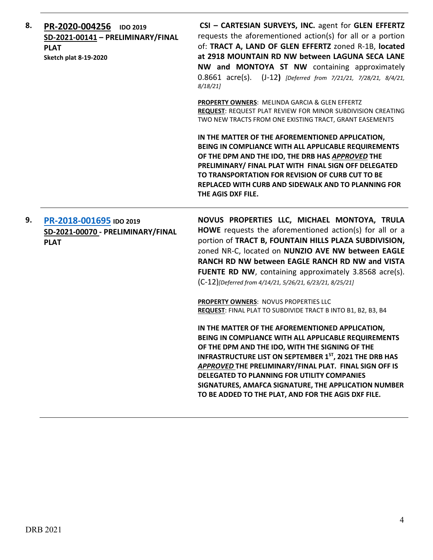| 8. | PR-2020-004256<br><b>IDO 2019</b><br>SD-2021-00141 - PRELIMINARY/FINAL<br><b>PLAT</b><br><b>Sketch plat 8-19-2020</b> | CSI - CARTESIAN SURVEYS, INC. agent for GLEN EFFERTZ<br>requests the aforementioned action(s) for all or a portion<br>of: TRACT A, LAND OF GLEN EFFERTZ zoned R-1B, located<br>at 2918 MOUNTAIN RD NW between LAGUNA SECA LANE<br>NW and MONTOYA ST NW containing approximately<br>0.8661 acre(s). (J-12) [Deferred from 7/21/21, 7/28/21, 8/4/21,<br>8/18/21                                                                                        |
|----|-----------------------------------------------------------------------------------------------------------------------|------------------------------------------------------------------------------------------------------------------------------------------------------------------------------------------------------------------------------------------------------------------------------------------------------------------------------------------------------------------------------------------------------------------------------------------------------|
|    |                                                                                                                       | PROPERTY OWNERS: MELINDA GARCIA & GLEN EFFERTZ<br>REQUEST: REQUEST PLAT REVIEW FOR MINOR SUBDIVISION CREATING<br>TWO NEW TRACTS FROM ONE EXISTING TRACT, GRANT EASEMENTS                                                                                                                                                                                                                                                                             |
|    |                                                                                                                       | IN THE MATTER OF THE AFOREMENTIONED APPLICATION,<br>BEING IN COMPLIANCE WITH ALL APPLICABLE REQUIREMENTS<br>OF THE DPM AND THE IDO, THE DRB HAS APPROVED THE<br>PRELIMINARY/ FINAL PLAT WITH FINAL SIGN OFF DELEGATED<br>TO TRANSPORTATION FOR REVISION OF CURB CUT TO BE<br>REPLACED WITH CURB AND SIDEWALK AND TO PLANNING FOR<br>THE AGIS DXF FILE.                                                                                               |
| 9. | PR-2018-001695 IDO 2019<br>SD-2021-00070 - PRELIMINARY/FINAL<br><b>PLAT</b>                                           | NOVUS PROPERTIES LLC, MICHAEL MONTOYA, TRULA<br><b>HOWE</b> requests the aforementioned action(s) for all or a<br>portion of TRACT B, FOUNTAIN HILLS PLAZA SUBDIVISION,<br>zoned NR-C, located on NUNZIO AVE NW between EAGLE<br>RANCH RD NW between EAGLE RANCH RD NW and VISTA<br>FUENTE RD NW, containing approximately 3.8568 acre(s).<br>(C-12)[Deferred from 4/14/21, 5/26/21, 6/23/21, 8/25/21]                                               |
|    |                                                                                                                       | <b>PROPERTY OWNERS: NOVUS PROPERTIES LLC</b><br>REQUEST: FINAL PLAT TO SUBDIVIDE TRACT B INTO B1, B2, B3, B4                                                                                                                                                                                                                                                                                                                                         |
|    |                                                                                                                       | IN THE MATTER OF THE AFOREMENTIONED APPLICATION,<br>BEING IN COMPLIANCE WITH ALL APPLICABLE REQUIREMENTS<br>OF THE DPM AND THE IDO, WITH THE SIGNING OF THE<br><b>INFRASTRUCTURE LIST ON SEPTEMBER 1ST, 2021 THE DRB HAS</b><br>APPROVED THE PRELIMINARY/FINAL PLAT. FINAL SIGN OFF IS<br>DELEGATED TO PLANNING FOR UTILITY COMPANIES<br>SIGNATURES, AMAFCA SIGNATURE, THE APPLICATION NUMBER<br>TO BE ADDED TO THE PLAT, AND FOR THE AGIS DXF FILE. |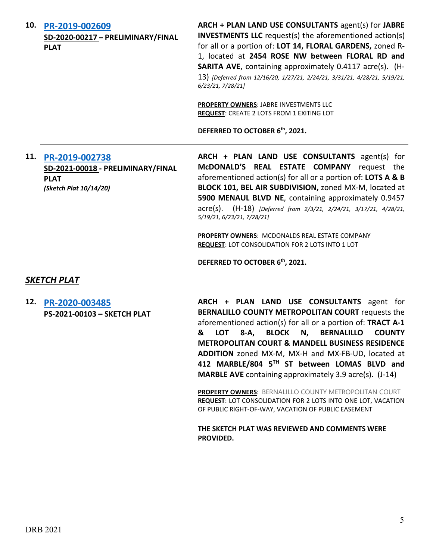| 10.         | PR-2019-002609<br>SD-2020-00217 - PRELIMINARY/FINAL<br><b>PLAT</b>                           | ARCH + PLAN LAND USE CONSULTANTS agent(s) for JABRE<br><b>INVESTMENTS LLC</b> request(s) the aforementioned action(s)<br>for all or a portion of: LOT 14, FLORAL GARDENS, zoned R-<br>1, located at 2454 ROSE NW between FLORAL RD and<br><b>SARITA AVE, containing approximately 0.4117 acre(s). (H-</b><br>13) [Deferred from 12/16/20, 1/27/21, 2/24/21, 3/31/21, 4/28/21, 5/19/21,<br>6/23/21, 7/28/21]<br>PROPERTY OWNERS: JABRE INVESTMENTS LLC<br><b>REQUEST: CREATE 2 LOTS FROM 1 EXITING LOT</b><br>DEFERRED TO OCTOBER 6 <sup>th</sup> , 2021. |
|-------------|----------------------------------------------------------------------------------------------|----------------------------------------------------------------------------------------------------------------------------------------------------------------------------------------------------------------------------------------------------------------------------------------------------------------------------------------------------------------------------------------------------------------------------------------------------------------------------------------------------------------------------------------------------------|
| 11.         | PR-2019-002738<br>SD-2021-00018 - PRELIMINARY/FINAL<br><b>PLAT</b><br>(Sketch Plat 10/14/20) | ARCH + PLAN LAND USE CONSULTANTS agent(s) for<br>McDONALD'S REAL ESTATE COMPANY request the<br>aforementioned action(s) for all or a portion of: LOTS A & B<br>BLOCK 101, BEL AIR SUBDIVISION, zoned MX-M, located at<br>5900 MENAUL BLVD NE, containing approximately 0.9457<br>acre(s). (H-18) [Deferred from 2/3/21, 2/24/21, 3/17/21, 4/28/21,<br>5/19/21, 6/23/21, 7/28/21]                                                                                                                                                                         |
|             |                                                                                              | PROPERTY OWNERS: MCDONALDS REAL ESTATE COMPANY<br>REQUEST: LOT CONSOLIDATION FOR 2 LOTS INTO 1 LOT                                                                                                                                                                                                                                                                                                                                                                                                                                                       |
|             |                                                                                              | DEFERRED TO OCTOBER 6th, 2021.                                                                                                                                                                                                                                                                                                                                                                                                                                                                                                                           |
| SKETCH PLAT |                                                                                              |                                                                                                                                                                                                                                                                                                                                                                                                                                                                                                                                                          |
| 12.         | PR-2020-003485<br>PS-2021-00103 - SKETCH PLAT                                                | ARCH + PLAN LAND USE CONSULTANTS agent for<br>BERNALILLO COUNTY METROPOLITAN COURT requests the<br>aforementioned action(s) for all or a portion of: TRACT A-1<br>& LOT 8-A, BLOCK N, BERNALILLO<br><b>COUNTY</b><br><b>METROPOLITAN COURT &amp; MANDELL BUSINESS RESIDENCE</b><br>ADDITION zoned MX-M, MX-H and MX-FB-UD, located at<br>412 MARBLE/804 5TH ST between LOMAS BLVD and<br><b>MARBLE AVE</b> containing approximately 3.9 acre(s). (J-14)                                                                                                  |

**PROPERTY OWNERS**: BERNALILLO COUNTY METROPOLITAN COURT **REQUEST**: LOT CONSOLIDATION FOR 2 LOTS INTO ONE LOT, VACATION OF PUBLIC RIGHT-OF-WAY, VACATION OF PUBLIC EASEMENT

**THE SKETCH PLAT WAS REVIEWED AND COMMENTS WERE PROVIDED.**